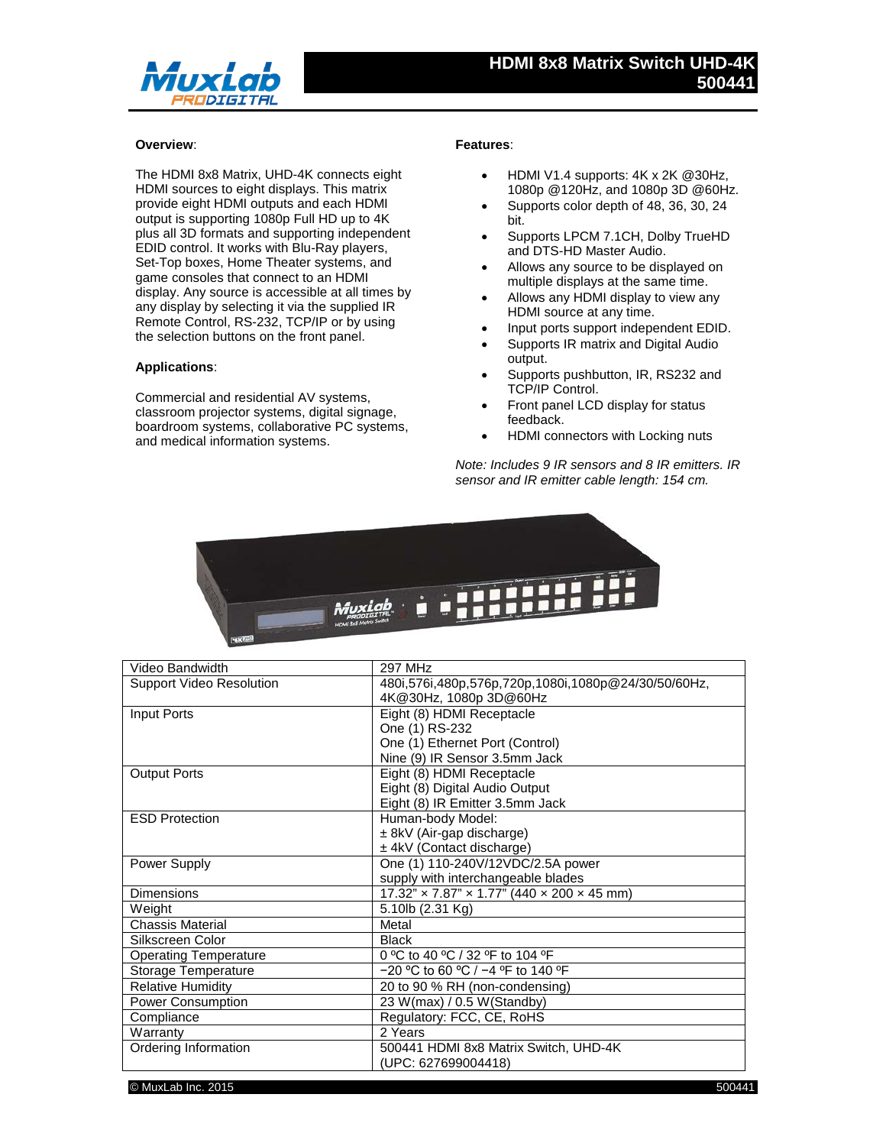

## **Overview**:

The HDMI 8x8 Matrix, UHD-4K connects eight HDMI sources to eight displays. This matrix provide eight HDMI outputs and each HDMI output is supporting 1080p Full HD up to 4K plus all 3D formats and supporting independent EDID control. It works with Blu-Ray players, Set-Top boxes, Home Theater systems, and game consoles that connect to an HDMI display. Any source is accessible at all times by any display by selecting it via the supplied IR Remote Control, RS-232, TCP/IP or by using the selection buttons on the front panel.

## **Applications**:

Commercial and residential AV systems, classroom projector systems, digital signage, boardroom systems, collaborative PC systems, and medical information systems.

## **Features**:

- HDMI V1.4 supports: 4K x 2K @30Hz, 1080p @120Hz, and 1080p 3D @60Hz.
- Supports color depth of 48, 36, 30, 24 bit.
- Supports LPCM 7.1CH, Dolby TrueHD and DTS-HD Master Audio.
- Allows any source to be displayed on multiple displays at the same time.
- Allows any HDMI display to view any HDMI source at any time.
- Input ports support independent EDID.
- Supports IR matrix and Digital Audio output.
- Supports pushbutton, IR, RS232 and TCP/IP Control.
- Front panel LCD display for status feedback.
- HDMI connectors with Locking nuts

*Note: Includes 9 IR sensors and 8 IR emitters. IR sensor and IR emitter cable length: 154 cm.*



| Video Bandwidth                 | <b>297 MHz</b>                                      |
|---------------------------------|-----------------------------------------------------|
| <b>Support Video Resolution</b> | 480i,576i,480p,576p,720p,1080i,1080p@24/30/50/60Hz, |
|                                 | 4K@30Hz, 1080p 3D@60Hz                              |
| Input Ports                     | Eight (8) HDMI Receptacle                           |
|                                 | One (1) RS-232                                      |
|                                 | One (1) Ethernet Port (Control)                     |
|                                 | Nine (9) IR Sensor 3.5mm Jack                       |
| <b>Output Ports</b>             | Eight (8) HDMI Receptacle                           |
|                                 | Eight (8) Digital Audio Output                      |
|                                 | Eight (8) IR Emitter 3.5mm Jack                     |
| <b>ESD Protection</b>           | Human-body Model:                                   |
|                                 | ± 8kV (Air-gap discharge)                           |
|                                 | ± 4kV (Contact discharge)                           |
| Power Supply                    | One (1) 110-240V/12VDC/2.5A power                   |
|                                 | supply with interchangeable blades                  |
| <b>Dimensions</b>               | $17.32$ " x $7.87$ " x $1.77$ " (440 x 200 x 45 mm) |
| Weight                          | 5.10lb (2.31 Kg)                                    |
| <b>Chassis Material</b>         | Metal                                               |
| Silkscreen Color                | <b>Black</b>                                        |
| <b>Operating Temperature</b>    | 0 °C to 40 °C / 32 °F to 104 °F                     |
| Storage Temperature             | $-20$ °C to 60 °C / -4 °F to 140 °F                 |
| <b>Relative Humidity</b>        | 20 to 90 % RH (non-condensing)                      |
| Power Consumption               | 23 W(max) / 0.5 W(Standby)                          |
| Compliance                      | Regulatory: FCC, CE, RoHS                           |
| Warranty                        | 2 Years                                             |
| Ordering Information            | 500441 HDMI 8x8 Matrix Switch, UHD-4K               |
|                                 | (UPC: 627699004418)                                 |

© MuxLab Inc. 2015 500441